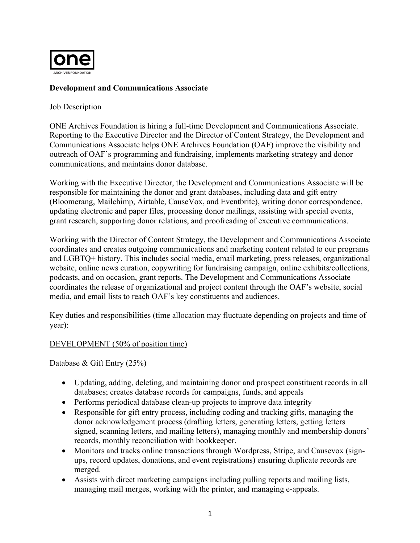

# **Development and Communications Associate**

#### Job Description

ONE Archives Foundation is hiring a full-time Development and Communications Associate. Reporting to the Executive Director and the Director of Content Strategy, the Development and Communications Associate helps ONE Archives Foundation (OAF) improve the visibility and outreach of OAF's programming and fundraising, implements marketing strategy and donor communications, and maintains donor database.

Working with the Executive Director, the Development and Communications Associate will be responsible for maintaining the donor and grant databases, including data and gift entry (Bloomerang, Mailchimp, Airtable, CauseVox, and Eventbrite), writing donor correspondence, updating electronic and paper files, processing donor mailings, assisting with special events, grant research, supporting donor relations, and proofreading of executive communications.

Working with the Director of Content Strategy, the Development and Communications Associate coordinates and creates outgoing communications and marketing content related to our programs and LGBTQ+ history. This includes social media, email marketing, press releases, organizational website, online news curation, copywriting for fundraising campaign, online exhibits/collections, podcasts, and on occasion, grant reports. The Development and Communications Associate coordinates the release of organizational and project content through the OAF's website, social media, and email lists to reach OAF's key constituents and audiences.

Key duties and responsibilities (time allocation may fluctuate depending on projects and time of year):

#### DEVELOPMENT (50% of position time)

Database & Gift Entry (25%)

- Updating, adding, deleting, and maintaining donor and prospect constituent records in all databases; creates database records for campaigns, funds, and appeals
- Performs periodical database clean-up projects to improve data integrity
- Responsible for gift entry process, including coding and tracking gifts, managing the donor acknowledgement process (drafting letters, generating letters, getting letters signed, scanning letters, and mailing letters), managing monthly and membership donors' records, monthly reconciliation with bookkeeper.
- Monitors and tracks online transactions through Wordpress, Stripe, and Causevox (signups, record updates, donations, and event registrations) ensuring duplicate records are merged.
- Assists with direct marketing campaigns including pulling reports and mailing lists, managing mail merges, working with the printer, and managing e-appeals.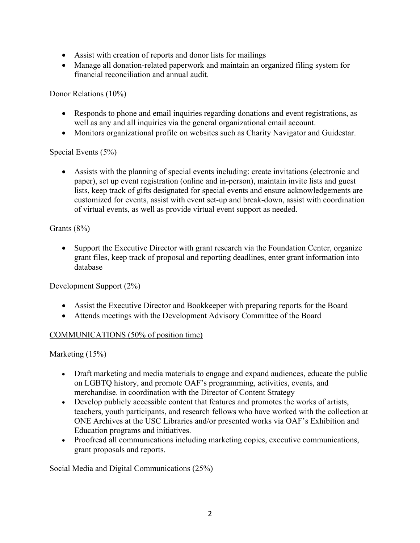- Assist with creation of reports and donor lists for mailings
- Manage all donation-related paperwork and maintain an organized filing system for financial reconciliation and annual audit.

Donor Relations (10%)

- Responds to phone and email inquiries regarding donations and event registrations, as well as any and all inquiries via the general organizational email account.
- Monitors organizational profile on websites such as Charity Navigator and Guidestar.

# Special Events (5%)

• Assists with the planning of special events including: create invitations (electronic and paper), set up event registration (online and in-person), maintain invite lists and guest lists, keep track of gifts designated for special events and ensure acknowledgements are customized for events, assist with event set-up and break-down, assist with coordination of virtual events, as well as provide virtual event support as needed.

# Grants (8%)

• Support the Executive Director with grant research via the Foundation Center, organize grant files, keep track of proposal and reporting deadlines, enter grant information into database

Development Support (2%)

- Assist the Executive Director and Bookkeeper with preparing reports for the Board
- Attends meetings with the Development Advisory Committee of the Board

# COMMUNICATIONS (50% of position time)

Marketing (15%)

- Draft marketing and media materials to engage and expand audiences, educate the public on LGBTQ history, and promote OAF's programming, activities, events, and merchandise. in coordination with the Director of Content Strategy
- Develop publicly accessible content that features and promotes the works of artists, teachers, youth participants, and research fellows who have worked with the collection at ONE Archives at the USC Libraries and/or presented works via OAF's Exhibition and Education programs and initiatives.
- Proofread all communications including marketing copies, executive communications, grant proposals and reports.

Social Media and Digital Communications (25%)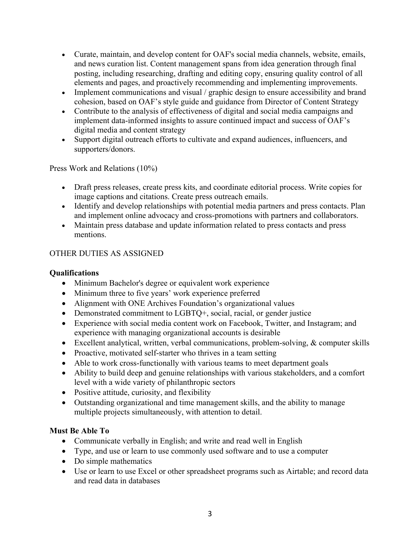- Curate, maintain, and develop content for OAF's social media channels, website, emails, and news curation list. Content management spans from idea generation through final posting, including researching, drafting and editing copy, ensuring quality control of all elements and pages, and proactively recommending and implementing improvements.
- Implement communications and visual / graphic design to ensure accessibility and brand cohesion, based on OAF's style guide and guidance from Director of Content Strategy
- Contribute to the analysis of effectiveness of digital and social media campaigns and implement data-informed insights to assure continued impact and success of OAF's digital media and content strategy
- Support digital outreach efforts to cultivate and expand audiences, influencers, and supporters/donors.

Press Work and Relations (10%)

- Draft press releases, create press kits, and coordinate editorial process. Write copies for image captions and citations. Create press outreach emails.
- Identify and develop relationships with potential media partners and press contacts. Plan and implement online advocacy and cross-promotions with partners and collaborators.
- Maintain press database and update information related to press contacts and press mentions.

# OTHER DUTIES AS ASSIGNED

### **Qualifications**

- Minimum Bachelor's degree or equivalent work experience
- Minimum three to five years' work experience preferred
- Alignment with ONE Archives Foundation's organizational values
- Demonstrated commitment to LGBTQ+, social, racial, or gender justice
- Experience with social media content work on Facebook, Twitter, and Instagram; and experience with managing organizational accounts is desirable
- Excellent analytical, written, verbal communications, problem-solving, & computer skills
- Proactive, motivated self-starter who thrives in a team setting
- Able to work cross-functionally with various teams to meet department goals
- Ability to build deep and genuine relationships with various stakeholders, and a comfort level with a wide variety of philanthropic sectors
- Positive attitude, curiosity, and flexibility
- Outstanding organizational and time management skills, and the ability to manage multiple projects simultaneously, with attention to detail.

# **Must Be Able To**

- Communicate verbally in English; and write and read well in English
- Type, and use or learn to use commonly used software and to use a computer
- Do simple mathematics
- Use or learn to use Excel or other spreadsheet programs such as Airtable; and record data and read data in databases